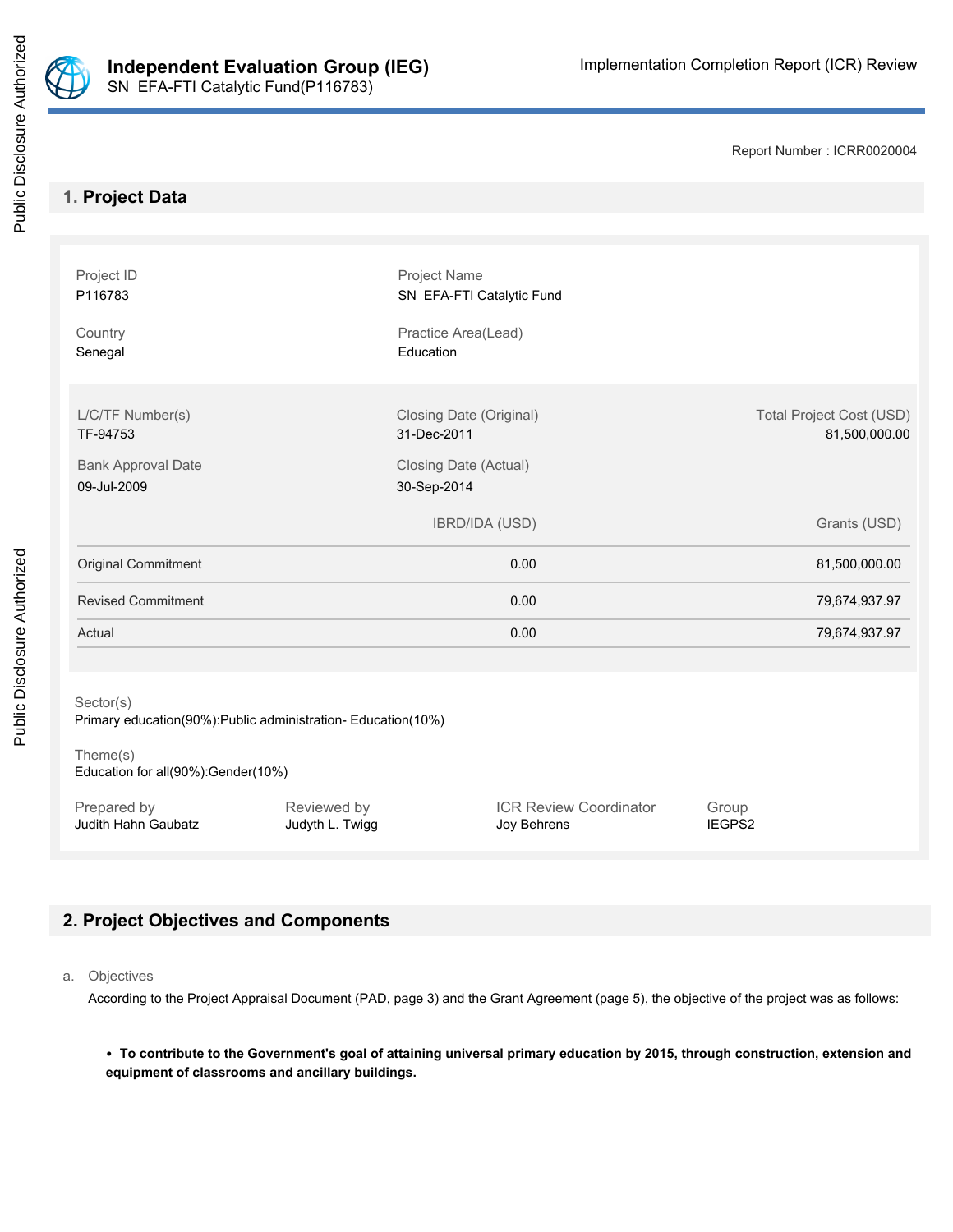

Report Number : ICRR0020004

# **1. Project Data**

| Project ID<br>P116783<br>Country<br>Senegal                                                                                 | Project Name<br>Education      | SN EFA-FTI Catalytic Fund<br>Practice Area(Lead) |                                                  |  |  |  |  |
|-----------------------------------------------------------------------------------------------------------------------------|--------------------------------|--------------------------------------------------|--------------------------------------------------|--|--|--|--|
| L/C/TF Number(s)<br>TF-94753                                                                                                | 31-Dec-2011                    | Closing Date (Original)                          | <b>Total Project Cost (USD)</b><br>81,500,000.00 |  |  |  |  |
| <b>Bank Approval Date</b><br>09-Jul-2009                                                                                    | 30-Sep-2014                    | Closing Date (Actual)                            |                                                  |  |  |  |  |
|                                                                                                                             |                                | <b>IBRD/IDA (USD)</b>                            | Grants (USD)                                     |  |  |  |  |
| <b>Original Commitment</b>                                                                                                  |                                | 0.00                                             | 81,500,000.00                                    |  |  |  |  |
| <b>Revised Commitment</b>                                                                                                   |                                | 0.00                                             | 79,674,937.97                                    |  |  |  |  |
| Actual                                                                                                                      |                                | 0.00                                             | 79,674,937.97                                    |  |  |  |  |
| Sector(s)<br>Primary education(90%):Public administration-Education(10%)<br>Then (s)<br>Education for all(90%): Gender(10%) |                                |                                                  |                                                  |  |  |  |  |
| Prepared by<br>Judith Hahn Gaubatz                                                                                          | Reviewed by<br>Judyth L. Twigg | <b>ICR Review Coordinator</b><br>Joy Behrens     | Group<br>IEGPS2                                  |  |  |  |  |

# **2. Project Objectives and Components**

a. Objectives

According to the Project Appraisal Document (PAD, page 3) and the Grant Agreement (page 5), the objective of the project was as follows:

• To contribute to the Government's goal of attaining universal primary education by 2015, through construction, extension and **equipment of classrooms and ancillary buildings.**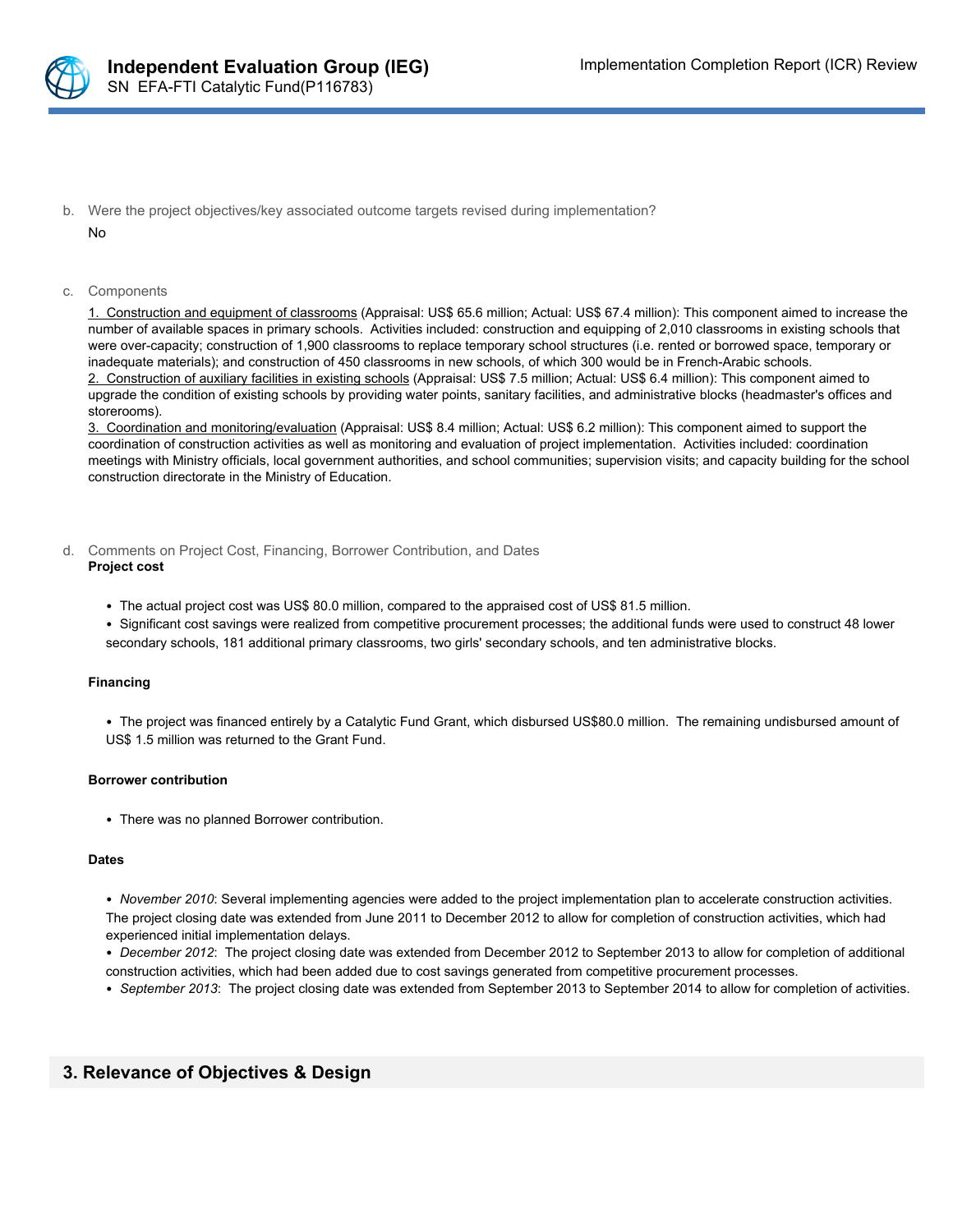

b. Were the project objectives/key associated outcome targets revised during implementation?

No

c. Components

1. Construction and equipment of classrooms (Appraisal: US\$ 65.6 million; Actual: US\$ 67.4 million): This component aimed to increase the number of available spaces in primary schools. Activities included: construction and equipping of 2,010 classrooms in existing schools that were over-capacity; construction of 1,900 classrooms to replace temporary school structures (i.e. rented or borrowed space, temporary or inadequate materials); and construction of 450 classrooms in new schools, of which 300 would be in French-Arabic schools. 2. Construction of auxiliary facilities in existing schools (Appraisal: US\$ 7.5 million; Actual: US\$ 6.4 million): This component aimed to upgrade the condition of existing schools by providing water points, sanitary facilities, and administrative blocks (headmaster's offices and storerooms).

3. Coordination and monitoring/evaluation (Appraisal: US\$ 8.4 million; Actual: US\$ 6.2 million): This component aimed to support the coordination of construction activities as well as monitoring and evaluation of project implementation. Activities included: coordination meetings with Ministry officials, local government authorities, and school communities; supervision visits; and capacity building for the school construction directorate in the Ministry of Education.

- d. Comments on Project Cost, Financing, Borrower Contribution, and Dates **Project cost**
	- The actual project cost was US\$ 80.0 million, compared to the appraised cost of US\$ 81.5 million.
	- Significant cost savings were realized from competitive procurement processes; the additional funds were used to construct 48 lower secondary schools, 181 additional primary classrooms, two girls' secondary schools, and ten administrative blocks.

#### **Financing**

• The project was financed entirely by a Catalytic Fund Grant, which disbursed US\$80.0 million. The remaining undisbursed amount of US\$ 1.5 million was returned to the Grant Fund.

#### **Borrower contribution**

• There was no planned Borrower contribution.

#### **Dates**

• *November 2010*: Several implementing agencies were added to the project implementation plan to accelerate construction activities. The project closing date was extended from June 2011 to December 2012 to allow for completion of construction activities, which had experienced initial implementation delays.

• *December 2012*: The project closing date was extended from December 2012 to September 2013 to allow for completion of additional construction activities, which had been added due to cost savings generated from competitive procurement processes.

• *September 2013*: The project closing date was extended from September 2013 to September 2014 to allow for completion of activities.

### **3. Relevance of Objectives & Design**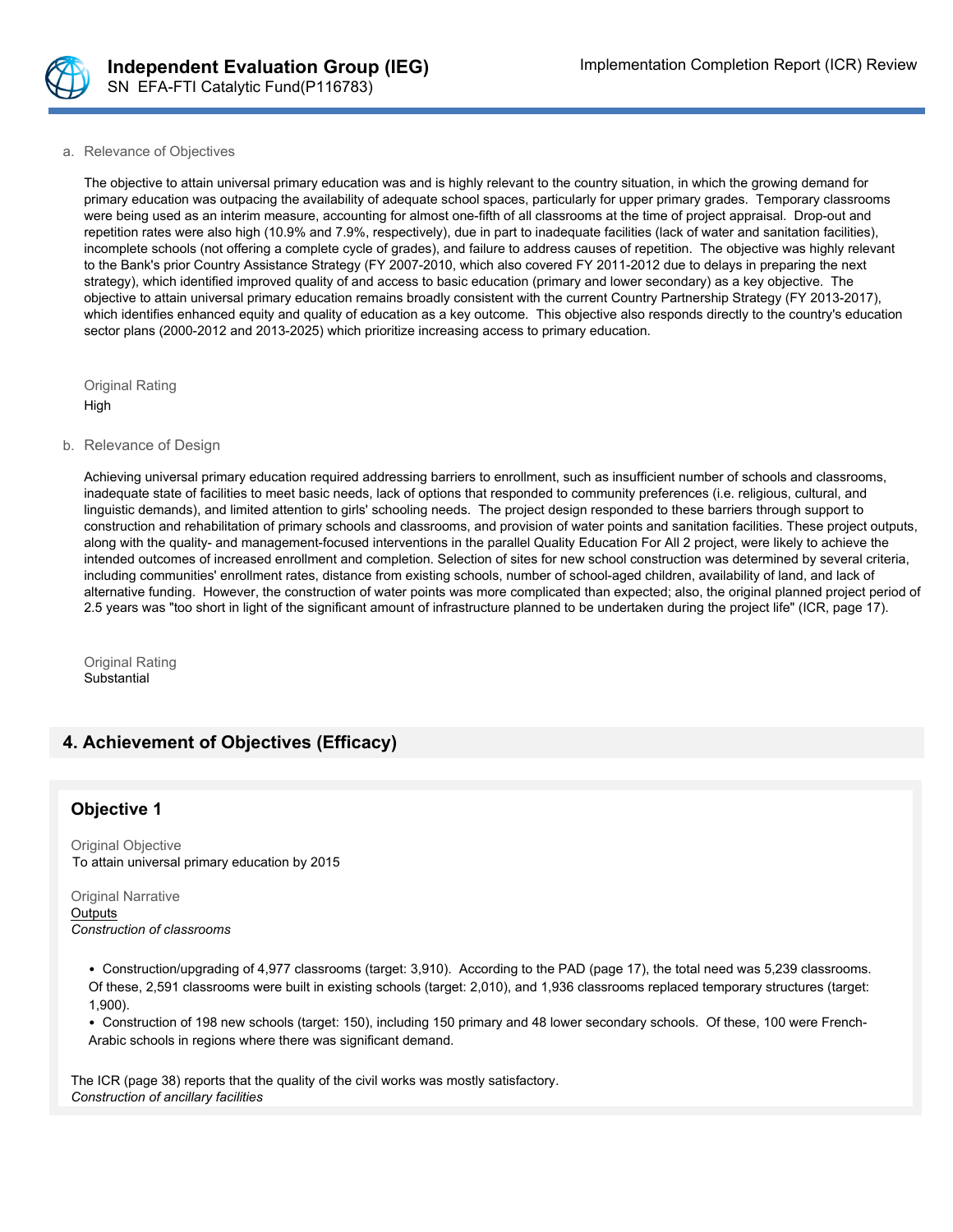

#### a. Relevance of Objectives

The objective to attain universal primary education was and is highly relevant to the country situation, in which the growing demand for primary education was outpacing the availability of adequate school spaces, particularly for upper primary grades. Temporary classrooms were being used as an interim measure, accounting for almost one-fifth of all classrooms at the time of project appraisal. Drop-out and repetition rates were also high (10.9% and 7.9%, respectively), due in part to inadequate facilities (lack of water and sanitation facilities), incomplete schools (not offering a complete cycle of grades), and failure to address causes of repetition. The objective was highly relevant to the Bank's prior Country Assistance Strategy (FY 2007-2010, which also covered FY 2011-2012 due to delays in preparing the next strategy), which identified improved quality of and access to basic education (primary and lower secondary) as a key objective. The objective to attain universal primary education remains broadly consistent with the current Country Partnership Strategy (FY 2013-2017), which identifies enhanced equity and quality of education as a key outcome. This objective also responds directly to the country's education sector plans (2000-2012 and 2013-2025) which prioritize increasing access to primary education.

Original Rating

High

#### b. Relevance of Design

Achieving universal primary education required addressing barriers to enrollment, such as insufficient number of schools and classrooms, inadequate state of facilities to meet basic needs, lack of options that responded to community preferences (i.e. religious, cultural, and linguistic demands), and limited attention to girls' schooling needs. The project design responded to these barriers through support to construction and rehabilitation of primary schools and classrooms, and provision of water points and sanitation facilities. These project outputs, along with the quality- and management-focused interventions in the parallel Quality Education For All 2 project, were likely to achieve the intended outcomes of increased enrollment and completion. Selection of sites for new school construction was determined by several criteria, including communities' enrollment rates, distance from existing schools, number of school-aged children, availability of land, and lack of alternative funding. However, the construction of water points was more complicated than expected; also, the original planned project period of 2.5 years was "too short in light of the significant amount of infrastructure planned to be undertaken during the project life" (ICR, page 17).

Original Rating **Substantial** 

## **4. Achievement of Objectives (Efficacy)**

### **Objective 1**

Original Objective To attain universal primary education by 2015

Original Narrative **Outputs** *Construction of classrooms*

> • Construction/upgrading of 4,977 classrooms (target: 3,910). According to the PAD (page 17), the total need was 5,239 classrooms. Of these, 2,591 classrooms were built in existing schools (target: 2,010), and 1,936 classrooms replaced temporary structures (target: 1,900).

> • Construction of 198 new schools (target: 150), including 150 primary and 48 lower secondary schools. Of these, 100 were French-Arabic schools in regions where there was significant demand.

The ICR (page 38) reports that the quality of the civil works was mostly satisfactory. *Construction of ancillary facilities*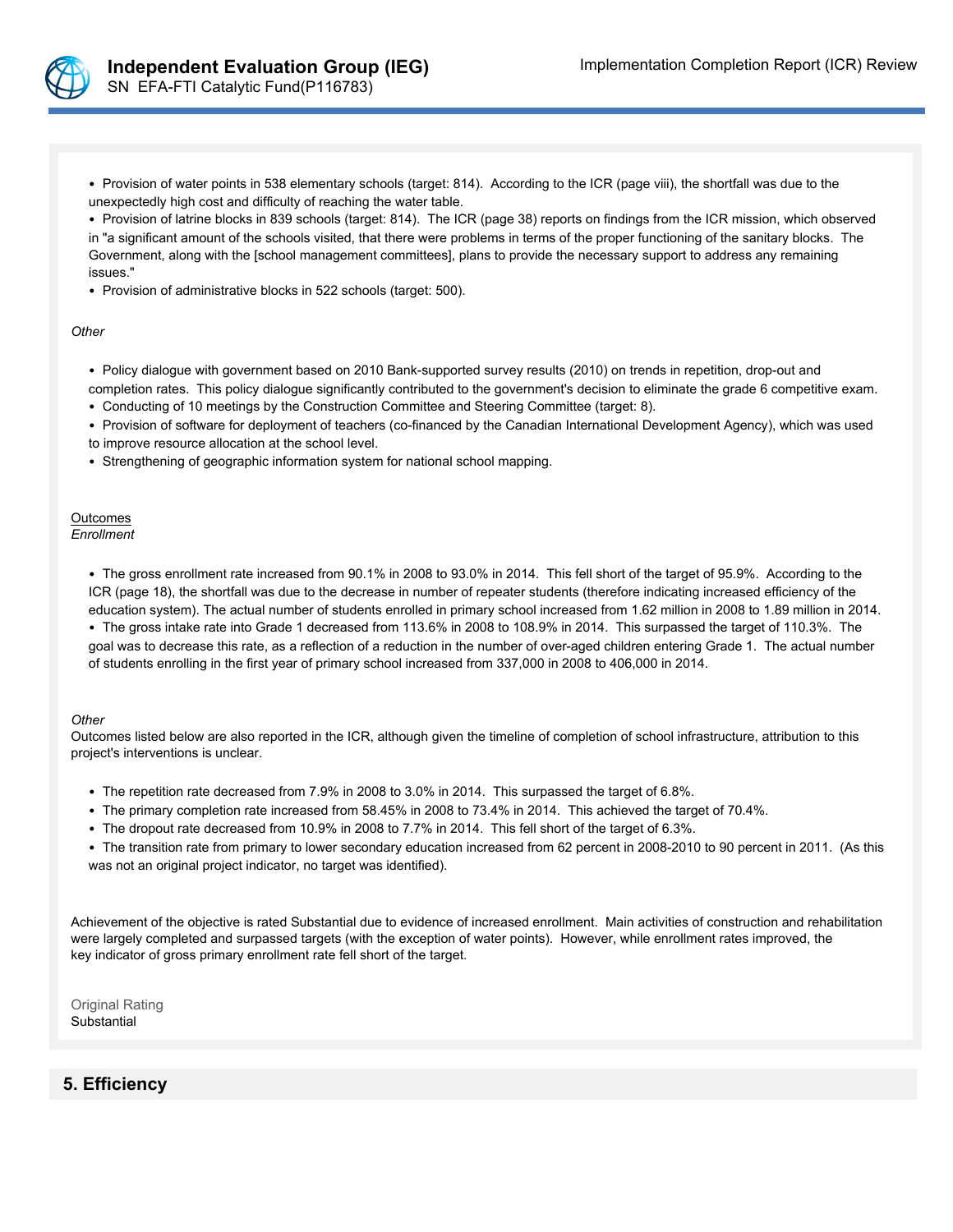- Provision of water points in 538 elementary schools (target: 814). According to the ICR (page viii), the shortfall was due to the unexpectedly high cost and difficulty of reaching the water table.
- Provision of latrine blocks in 839 schools (target: 814). The ICR (page 38) reports on findings from the ICR mission, which observed in "a significant amount of the schools visited, that there were problems in terms of the proper functioning of the sanitary blocks. The Government, along with the [school management committees], plans to provide the necessary support to address any remaining issues."
- Provision of administrative blocks in 522 schools (target: 500).

#### *Other*

- Policy dialogue with government based on 2010 Bank-supported survey results (2010) on trends in repetition, drop-out and completion rates. This policy dialogue significantly contributed to the government's decision to eliminate the grade 6 competitive exam.
- Conducting of 10 meetings by the Construction Committee and Steering Committee (target: 8).
- Provision of software for deployment of teachers (co-financed by the Canadian International Development Agency), which was used
- to improve resource allocation at the school level.
- Strengthening of geographic information system for national school mapping.

#### **Outcomes** *Enrollment*

• The gross enrollment rate increased from 90.1% in 2008 to 93.0% in 2014. This fell short of the target of 95.9%. According to the ICR (page 18), the shortfall was due to the decrease in number of repeater students (therefore indicating increased efficiency of the education system). The actual number of students enrolled in primary school increased from 1.62 million in 2008 to 1.89 million in 2014.

• The gross intake rate into Grade 1 decreased from 113.6% in 2008 to 108.9% in 2014. This surpassed the target of 110.3%. The goal was to decrease this rate, as a reflection of a reduction in the number of over-aged children entering Grade 1. The actual number of students enrolling in the first year of primary school increased from 337,000 in 2008 to 406,000 in 2014.

#### *Other*

Outcomes listed below are also reported in the ICR, although given the timeline of completion of school infrastructure, attribution to this project's interventions is unclear.

- The repetition rate decreased from 7.9% in 2008 to 3.0% in 2014. This surpassed the target of 6.8%.
- The primary completion rate increased from 58.45% in 2008 to 73.4% in 2014. This achieved the target of 70.4%.
- The dropout rate decreased from 10.9% in 2008 to 7.7% in 2014. This fell short of the target of 6.3%.
- The transition rate from primary to lower secondary education increased from 62 percent in 2008-2010 to 90 percent in 2011. (As this was not an original project indicator, no target was identified).

Achievement of the objective is rated Substantial due to evidence of increased enrollment. Main activities of construction and rehabilitation were largely completed and surpassed targets (with the exception of water points). However, while enrollment rates improved, the key indicator of gross primary enrollment rate fell short of the target.

Original Rating **Substantial** 

### **5. Efficiency**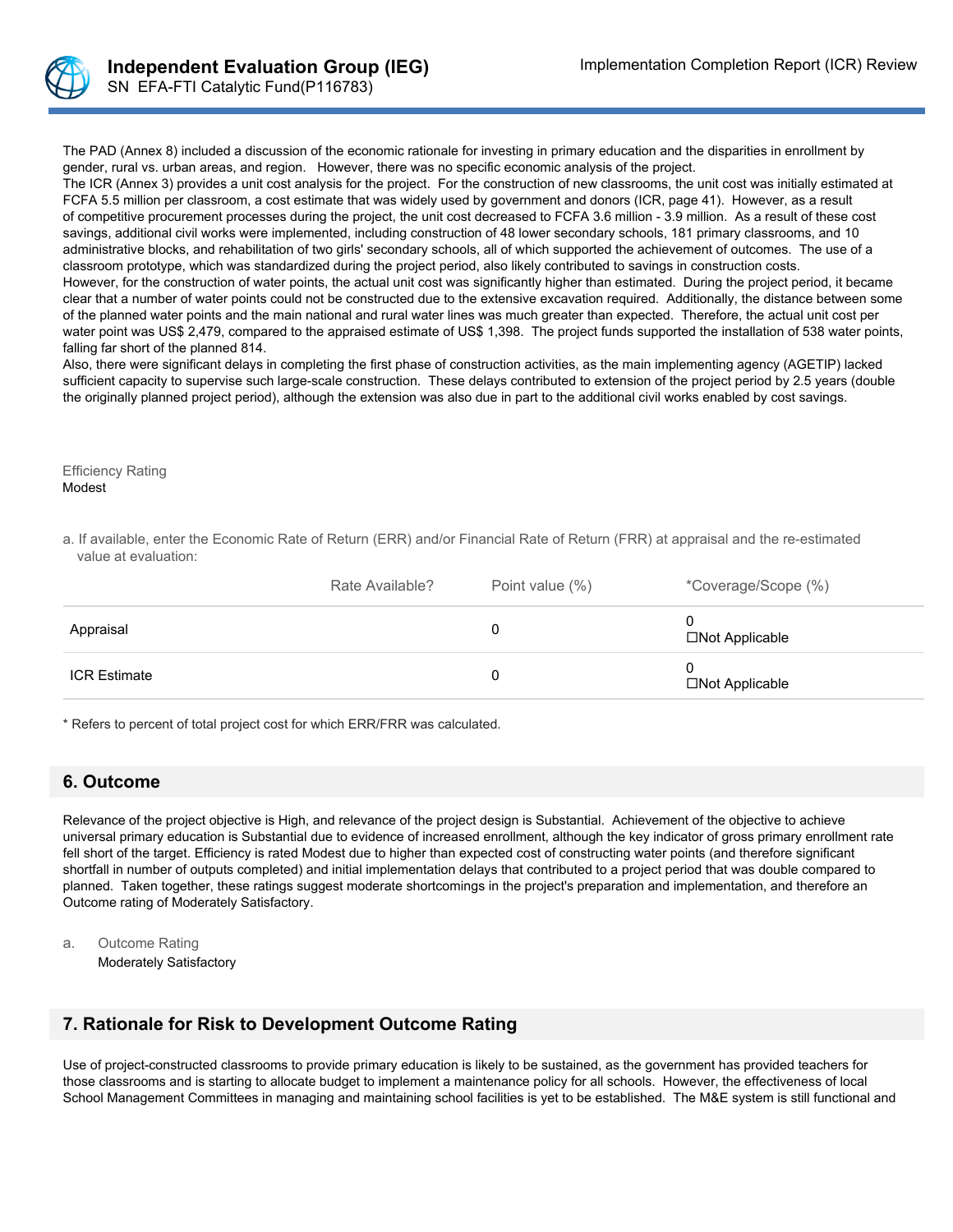

The PAD (Annex 8) included a discussion of the economic rationale for investing in primary education and the disparities in enrollment by gender, rural vs. urban areas, and region. However, there was no specific economic analysis of the project.

The ICR (Annex 3) provides a unit cost analysis for the project. For the construction of new classrooms, the unit cost was initially estimated at FCFA 5.5 million per classroom, a cost estimate that was widely used by government and donors (ICR, page 41). However, as a result of competitive procurement processes during the project, the unit cost decreased to FCFA 3.6 million - 3.9 million. As a result of these cost savings, additional civil works were implemented, including construction of 48 lower secondary schools, 181 primary classrooms, and 10 administrative blocks, and rehabilitation of two girls' secondary schools, all of which supported the achievement of outcomes. The use of a classroom prototype, which was standardized during the project period, also likely contributed to savings in construction costs. However, for the construction of water points, the actual unit cost was significantly higher than estimated. During the project period, it became clear that a number of water points could not be constructed due to the extensive excavation required. Additionally, the distance between some of the planned water points and the main national and rural water lines was much greater than expected. Therefore, the actual unit cost per water point was US\$ 2,479, compared to the appraised estimate of US\$ 1,398. The project funds supported the installation of 538 water points, falling far short of the planned 814.

Also, there were significant delays in completing the first phase of construction activities, as the main implementing agency (AGETIP) lacked sufficient capacity to supervise such large-scale construction. These delays contributed to extension of the project period by 2.5 years (double the originally planned project period), although the extension was also due in part to the additional civil works enabled by cost savings.

Efficiency Rating Modest

a. If available, enter the Economic Rate of Return (ERR) and/or Financial Rate of Return (FRR) at appraisal and the re-estimated value at evaluation:

|                     | Rate Available? | Point value (%) | *Coverage/Scope (%)      |
|---------------------|-----------------|-----------------|--------------------------|
| Appraisal           |                 | Ü               | $\square$ Not Applicable |
| <b>ICR Estimate</b> |                 | 0               | □Not Applicable          |

\* Refers to percent of total project cost for which ERR/FRR was calculated.

### **6. Outcome**

Relevance of the project objective is High, and relevance of the project design is Substantial. Achievement of the objective to achieve universal primary education is Substantial due to evidence of increased enrollment, although the key indicator of gross primary enrollment rate fell short of the target. Efficiency is rated Modest due to higher than expected cost of constructing water points (and therefore significant shortfall in number of outputs completed) and initial implementation delays that contributed to a project period that was double compared to planned. Taken together, these ratings suggest moderate shortcomings in the project's preparation and implementation, and therefore an Outcome rating of Moderately Satisfactory.

## **7. Rationale for Risk to Development Outcome Rating**

Use of project-constructed classrooms to provide primary education is likely to be sustained, as the government has provided teachers for those classrooms and is starting to allocate budget to implement a maintenance policy for all schools. However, the effectiveness of local School Management Committees in managing and maintaining school facilities is yet to be established. The M&E system is still functional and

a. Outcome Rating Moderately Satisfactory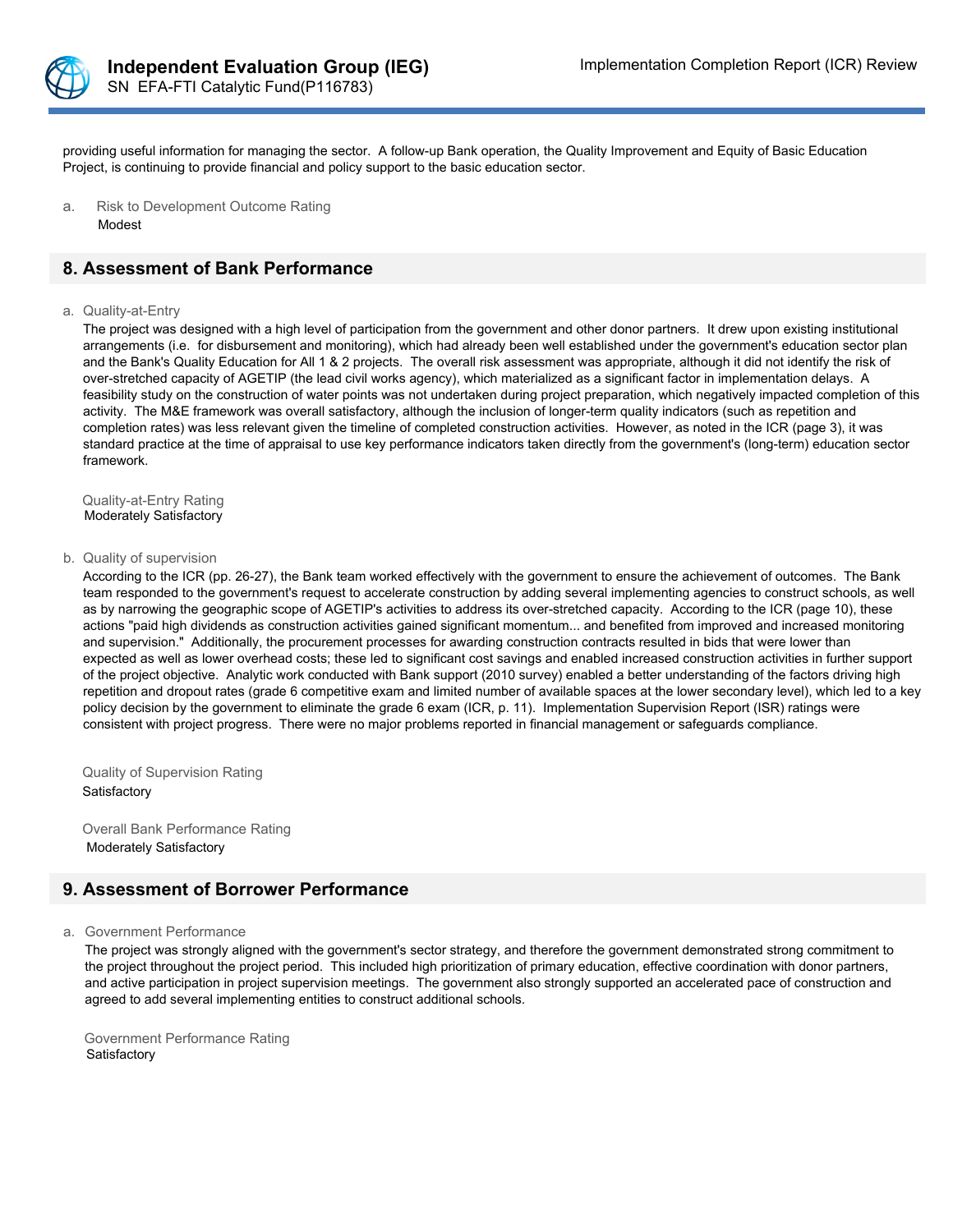

providing useful information for managing the sector. A follow-up Bank operation, the Quality Improvement and Equity of Basic Education Project, is continuing to provide financial and policy support to the basic education sector.

a. Risk to Development Outcome Rating Modest

### **8. Assessment of Bank Performance**

a. Quality-at-Entry

The project was designed with a high level of participation from the government and other donor partners. It drew upon existing institutional arrangements (i.e. for disbursement and monitoring), which had already been well established under the government's education sector plan and the Bank's Quality Education for All 1 & 2 projects. The overall risk assessment was appropriate, although it did not identify the risk of over-stretched capacity of AGETIP (the lead civil works agency), which materialized as a significant factor in implementation delays. A feasibility study on the construction of water points was not undertaken during project preparation, which negatively impacted completion of this activity. The M&E framework was overall satisfactory, although the inclusion of longer-term quality indicators (such as repetition and completion rates) was less relevant given the timeline of completed construction activities. However, as noted in the ICR (page 3), it was standard practice at the time of appraisal to use key performance indicators taken directly from the government's (long-term) education sector framework.

Quality-at-Entry Rating Moderately Satisfactory

b. Quality of supervision

According to the ICR (pp. 26-27), the Bank team worked effectively with the government to ensure the achievement of outcomes. The Bank team responded to the government's request to accelerate construction by adding several implementing agencies to construct schools, as well as by narrowing the geographic scope of AGETIP's activities to address its over-stretched capacity. According to the ICR (page 10), these actions "paid high dividends as construction activities gained significant momentum... and benefited from improved and increased monitoring and supervision." Additionally, the procurement processes for awarding construction contracts resulted in bids that were lower than expected as well as lower overhead costs; these led to significant cost savings and enabled increased construction activities in further support of the project objective. Analytic work conducted with Bank support (2010 survey) enabled a better understanding of the factors driving high repetition and dropout rates (grade 6 competitive exam and limited number of available spaces at the lower secondary level), which led to a key policy decision by the government to eliminate the grade 6 exam (ICR, p. 11). Implementation Supervision Report (ISR) ratings were consistent with project progress. There were no major problems reported in financial management or safeguards compliance.

Quality of Supervision Rating **Satisfactory** 

Overall Bank Performance Rating Moderately Satisfactory

### **9. Assessment of Borrower Performance**

a. Government Performance

The project was strongly aligned with the government's sector strategy, and therefore the government demonstrated strong commitment to the project throughout the project period. This included high prioritization of primary education, effective coordination with donor partners, and active participation in project supervision meetings. The government also strongly supported an accelerated pace of construction and agreed to add several implementing entities to construct additional schools.

Government Performance Rating Satisfactory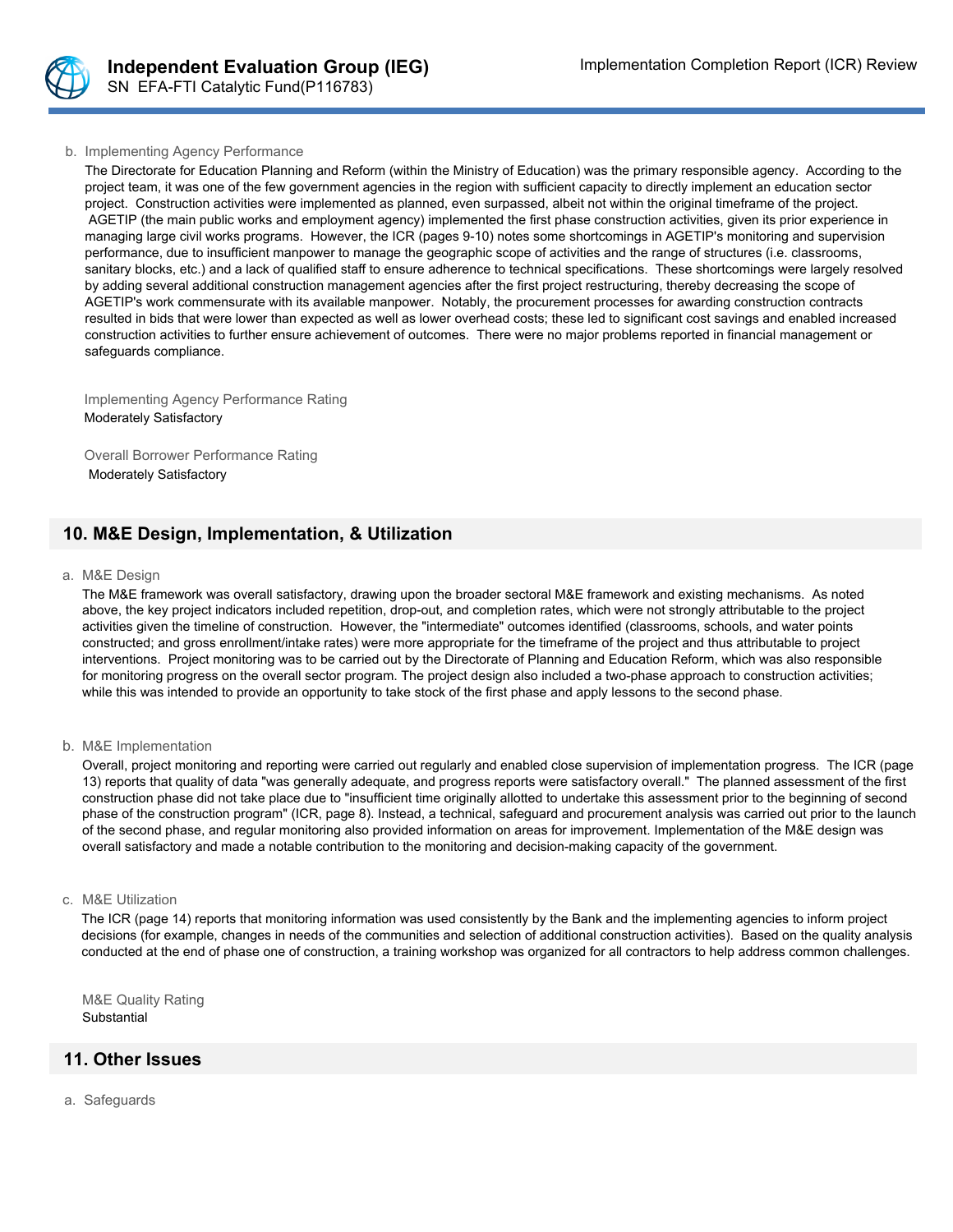

#### b. Implementing Agency Performance

The Directorate for Education Planning and Reform (within the Ministry of Education) was the primary responsible agency. According to the project team, it was one of the few government agencies in the region with sufficient capacity to directly implement an education sector project. Construction activities were implemented as planned, even surpassed, albeit not within the original timeframe of the project. AGETIP (the main public works and employment agency) implemented the first phase construction activities, given its prior experience in managing large civil works programs. However, the ICR (pages 9-10) notes some shortcomings in AGETIP's monitoring and supervision performance, due to insufficient manpower to manage the geographic scope of activities and the range of structures (i.e. classrooms, sanitary blocks, etc.) and a lack of qualified staff to ensure adherence to technical specifications. These shortcomings were largely resolved by adding several additional construction management agencies after the first project restructuring, thereby decreasing the scope of AGETIP's work commensurate with its available manpower. Notably, the procurement processes for awarding construction contracts resulted in bids that were lower than expected as well as lower overhead costs; these led to significant cost savings and enabled increased construction activities to further ensure achievement of outcomes. There were no major problems reported in financial management or safeguards compliance.

Implementing Agency Performance Rating Moderately Satisfactory

Overall Borrower Performance Rating Moderately Satisfactory

### **10. M&E Design, Implementation, & Utilization**

#### a. M&E Design

The M&E framework was overall satisfactory, drawing upon the broader sectoral M&E framework and existing mechanisms. As noted above, the key project indicators included repetition, drop-out, and completion rates, which were not strongly attributable to the project activities given the timeline of construction. However, the "intermediate" outcomes identified (classrooms, schools, and water points constructed; and gross enrollment/intake rates) were more appropriate for the timeframe of the project and thus attributable to project interventions. Project monitoring was to be carried out by the Directorate of Planning and Education Reform, which was also responsible for monitoring progress on the overall sector program. The project design also included a two-phase approach to construction activities; while this was intended to provide an opportunity to take stock of the first phase and apply lessons to the second phase.

#### b. M&E Implementation

Overall, project monitoring and reporting were carried out regularly and enabled close supervision of implementation progress. The ICR (page 13) reports that quality of data "was generally adequate, and progress reports were satisfactory overall." The planned assessment of the first construction phase did not take place due to "insufficient time originally allotted to undertake this assessment prior to the beginning of second phase of the construction program" (ICR, page 8). Instead, a technical, safeguard and procurement analysis was carried out prior to the launch of the second phase, and regular monitoring also provided information on areas for improvement. Implementation of the M&E design was overall satisfactory and made a notable contribution to the monitoring and decision-making capacity of the government.

#### c. M&E Utilization

The ICR (page 14) reports that monitoring information was used consistently by the Bank and the implementing agencies to inform project decisions (for example, changes in needs of the communities and selection of additional construction activities). Based on the quality analysis conducted at the end of phase one of construction, a training workshop was organized for all contractors to help address common challenges.

M&E Quality Rating **Substantial** 

### **11. Other Issues**

a. Safeguards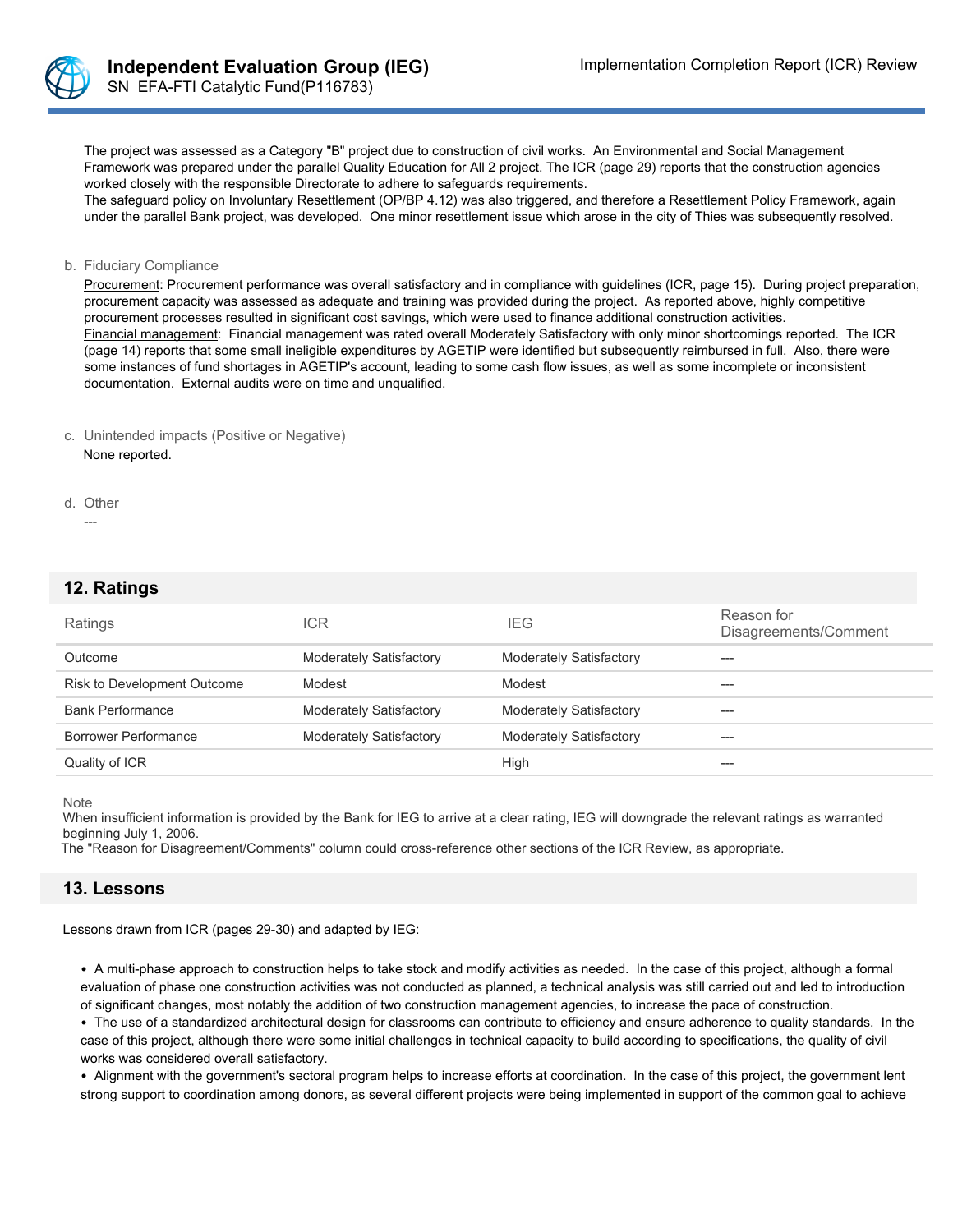

The project was assessed as a Category "B" project due to construction of civil works. An Environmental and Social Management Framework was prepared under the parallel Quality Education for All 2 project. The ICR (page 29) reports that the construction agencies worked closely with the responsible Directorate to adhere to safeguards requirements.

The safeguard policy on Involuntary Resettlement (OP/BP 4.12) was also triggered, and therefore a Resettlement Policy Framework, again under the parallel Bank project, was developed. One minor resettlement issue which arose in the city of Thies was subsequently resolved.

b. Fiduciary Compliance

Procurement: Procurement performance was overall satisfactory and in compliance with guidelines (ICR, page 15). During project preparation, procurement capacity was assessed as adequate and training was provided during the project. As reported above, highly competitive procurement processes resulted in significant cost savings, which were used to finance additional construction activities. Financial management: Financial management was rated overall Moderately Satisfactory with only minor shortcomings reported. The ICR (page 14) reports that some small ineligible expenditures by AGETIP were identified but subsequently reimbursed in full. Also, there were some instances of fund shortages in AGETIP's account, leading to some cash flow issues, as well as some incomplete or inconsistent documentation. External audits were on time and unqualified.

- c. Unintended impacts (Positive or Negative) None reported.
- d. Other
	- ---

## **12. Ratings**

| Ratings                     | ICR                            | IEG                            | Reason for<br>Disagreements/Comment |
|-----------------------------|--------------------------------|--------------------------------|-------------------------------------|
| Outcome                     | <b>Moderately Satisfactory</b> | <b>Moderately Satisfactory</b> | ---                                 |
| Risk to Development Outcome | Modest                         | Modest                         | ---                                 |
| <b>Bank Performance</b>     | <b>Moderately Satisfactory</b> | <b>Moderately Satisfactory</b> | $---$                               |
| Borrower Performance        | <b>Moderately Satisfactory</b> | <b>Moderately Satisfactory</b> | ---                                 |
| Quality of ICR              |                                | High                           | ---                                 |

**Note** 

When insufficient information is provided by the Bank for IEG to arrive at a clear rating, IEG will downgrade the relevant ratings as warranted beginning July 1, 2006.

The "Reason for Disagreement/Comments" column could cross-reference other sections of the ICR Review, as appropriate.

### **13. Lessons**

Lessons drawn from ICR (pages 29-30) and adapted by IEG:

• A multi-phase approach to construction helps to take stock and modify activities as needed. In the case of this project, although a formal evaluation of phase one construction activities was not conducted as planned, a technical analysis was still carried out and led to introduction of significant changes, most notably the addition of two construction management agencies, to increase the pace of construction.

• The use of a standardized architectural design for classrooms can contribute to efficiency and ensure adherence to quality standards. In the case of this project, although there were some initial challenges in technical capacity to build according to specifications, the quality of civil works was considered overall satisfactory.

• Alignment with the government's sectoral program helps to increase efforts at coordination. In the case of this project, the government lent strong support to coordination among donors, as several different projects were being implemented in support of the common goal to achieve